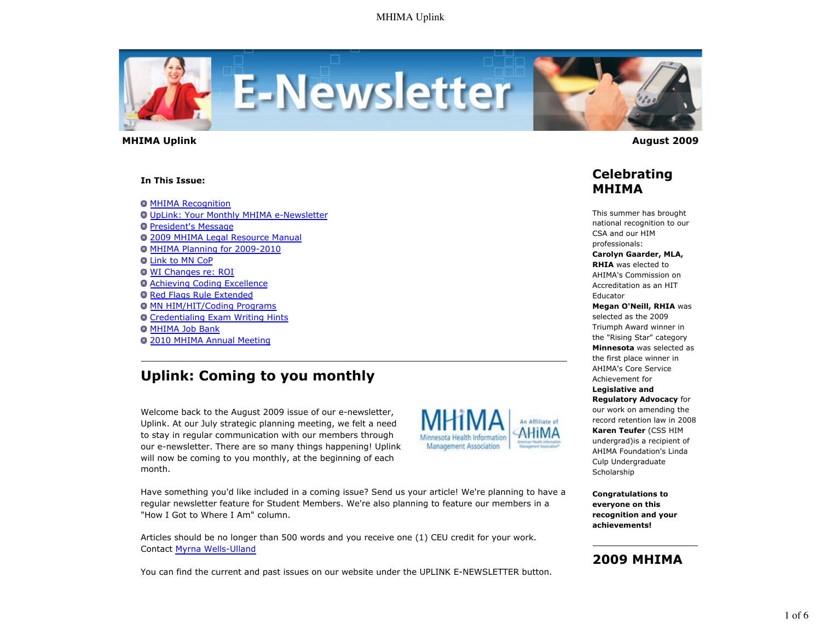

 **MHIMA Uplink August 2009** 

#### **In This Issue:**

**O MHIMA Recognition** UpLink: Your Monthly MHIMA e-Newsletter **President's Message** 2009 MHIMA Legal Resource Manual MHIMA Planning for 2009-2010 **O Link to MN CoP** WI Changes re: ROI **O Achieving Coding Excellence O Red Flags Rule Extended O MN HIM/HIT/Coding Programs** Credentialing Exam Writing Hints **O MHIMA Job Bank** 2010 MHIMA Annual Meeting

# **Uplink: Coming to you monthly**

Welcome back to the August 2009 issue of our e-newsletter, Uplink. At our July strategic planning meeting, we felt a need to stay in regular communication with our members through our e-newsletter. There are so many things happening! Uplink will now be coming to you monthly, at the beginning of each month.



Have something you'd like included in a coming issue? Send us your article! We're planning to have a regular newsletter feature for Student Members. We're also planning to feature our members in a "How I Got to Where I Am" column.

Articles should be no longer than 500 words and you receive one (1) CEU credit for your work. Contact Myrna Wells-Ulland

You can find the current and past issues on our website under the UPLINK E-NEWSLETTER button.



### **Celebrating MHIMA**

This summer has brought national recognition to our CSA and our HIM professionals:

#### **Carolyn Gaarder, MLA, RHIA** was elected to

AHIMA's Commission on Accreditation as an HIT Educator

**Megan O'Neill, RHIA** was

selected as the 2009 Triumph Award winner in the "Rising Star" category **Minnesota** was selected as the first place winner in AHIMA's Core Service Achievement for **Legislative and Regulatory Advocacy** for our work on amending the record retention law in 2008 **Karen Teufer** (CSS HIM undergrad)is a recipient of AHIMA Foundation's Linda Culp Undergraduate Scholarship

**Congratulations to everyone on this recognition and your achievements!**

# **2009 MHIMA**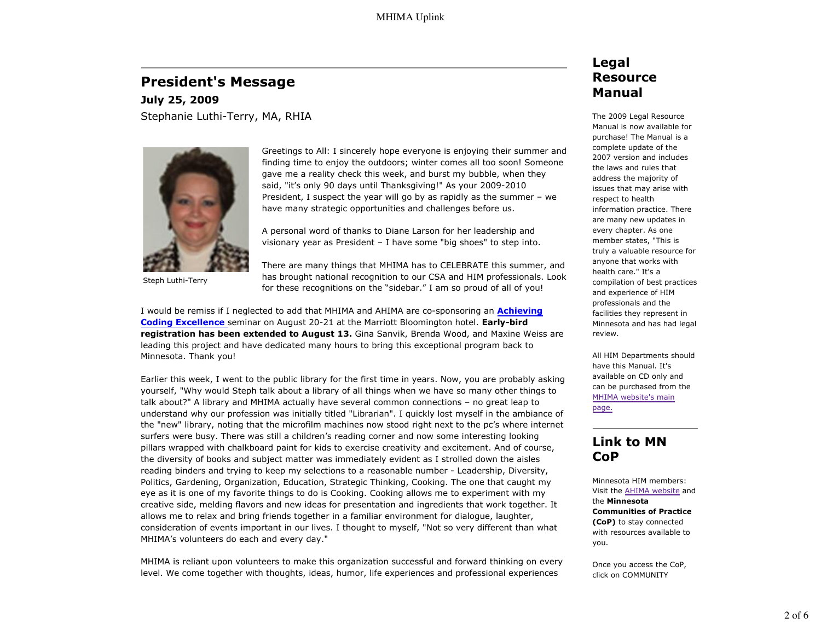### **President's Message**

**July 25, 2009** Stephanie Luthi-Terry, MA, RHIA



Steph Luthi-Terry

Greetings to All: I sincerely hope everyone is enjoying their summer and finding time to enjoy the outdoors; winter comes all too soon! Someone gave me a reality check this week, and burst my bubble, when they said, "it's only 90 days until Thanksgiving!" As your 2009-2010 President, I suspect the year will go by as rapidly as the summer – we have many strategic opportunities and challenges before us.

A personal word of thanks to Diane Larson for her leadership and visionary year as President – I have some "big shoes" to step into.

There are many things that MHIMA has to CELEBRATE this summer, and has brought national recognition to our CSA and HIM professionals. Look for these recognitions on the "sidebar." I am so proud of all of you!

I would be remiss if I neglected to add that MHIMA and AHIMA are co-sponsoring an **Achieving Coding Excellence** seminar on August 20-21 at the Marriott Bloomington hotel. **Early-bird registration has been extended to August 13.** Gina Sanvik, Brenda Wood, and Maxine Weiss are leading this project and have dedicated many hours to bring this exceptional program back to Minnesota. Thank you!

Earlier this week, I went to the public library for the first time in years. Now, you are probably asking yourself, "Why would Steph talk about a library of all things when we have so many other things to talk about?" A library and MHIMA actually have several common connections – no great leap to understand why our profession was initially titled "Librarian". I quickly lost myself in the ambiance of the "new" library, noting that the microfilm machines now stood right next to the pc's where internet surfers were busy. There was still a children's reading corner and now some interesting looking pillars wrapped with chalkboard paint for kids to exercise creativity and excitement. And of course, the diversity of books and subject matter was immediately evident as I strolled down the aisles reading binders and trying to keep my selections to a reasonable number - Leadership, Diversity, Politics, Gardening, Organization, Education, Strategic Thinking, Cooking. The one that caught my eye as it is one of my favorite things to do is Cooking. Cooking allows me to experiment with my creative side, melding flavors and new ideas for presentation and ingredients that work together. It allows me to relax and bring friends together in a familiar environment for dialogue, laughter, consideration of events important in our lives. I thought to myself, "Not so very different than what MHIMA's volunteers do each and every day."

MHIMA is reliant upon volunteers to make this organization successful and forward thinking on every level. We come together with thoughts, ideas, humor, life experiences and professional experiences

### **Legal Resource Manual**

The 2009 Legal Resource Manual is now available for purchase! The Manual is a complete update of the 2007 version and includes the laws and rules that address the majority of issues that may arise with respect to health information practice. There are many new updates in every chapter. As one member states, "This is truly a valuable resource for anyone that works with health care." It's a compilation of best practices and experience of HIM professionals and the facilities they represent in Minnesota and has had legal review.

All HIM Departments should have this Manual. It's available on CD only and can be purchased from the MHIMA website's main page.

### **Link to MN CoP**

Minnesota HIM members: Visit the AHIMA website and the **Minnesota Communities of Practice (CoP)** to stay connected with resources available to you.

Once you access the CoP, click on COMMUNITY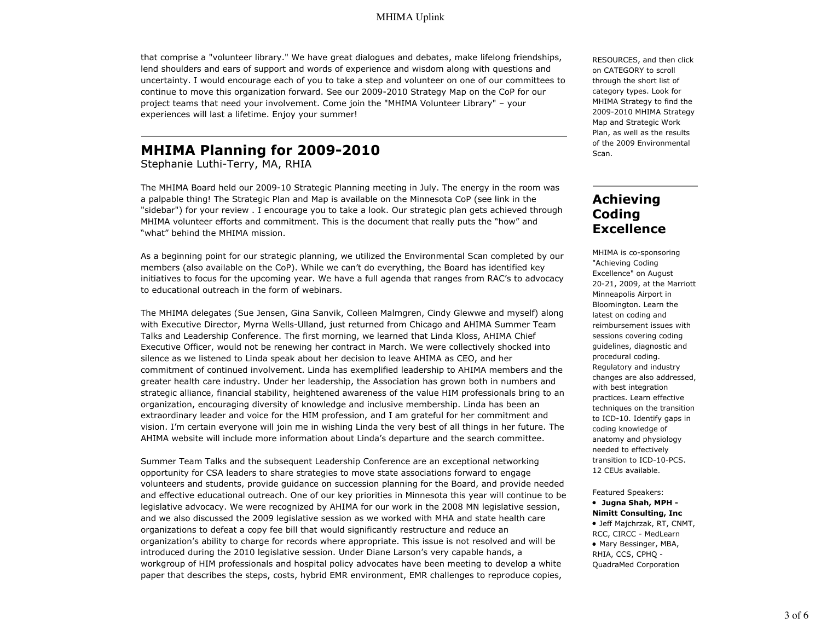that comprise a "volunteer library." We have great dialogues and debates, make lifelong friendships, lend shoulders and ears of support and words of experience and wisdom along with questions and uncertainty. I would encourage each of you to take a step and volunteer on one of our committees to continue to move this organization forward. See our 2009-2010 Strategy Map on the CoP for our project teams that need your involvement. Come join the "MHIMA Volunteer Library" – your experiences will last a lifetime. Enjoy your summer!

# **MHIMA Planning for 2009-2010**

Stephanie Luthi-Terry, MA, RHIA

The MHIMA Board held our 2009-10 Strategic Planning meeting in July. The energy in the room was a palpable thing! The Strategic Plan and Map is available on the Minnesota CoP (see link in the "sidebar") for your review . I encourage you to take a look. Our strategic plan gets achieved through MHIMA volunteer efforts and commitment. This is the document that really puts the "how" and "what" behind the MHIMA mission.

As a beginning point for our strategic planning, we utilized the Environmental Scan completed by our members (also available on the CoP). While we can't do everything, the Board has identified key initiatives to focus for the upcoming year. We have a full agenda that ranges from RAC's to advocacy to educational outreach in the form of webinars.

The MHIMA delegates (Sue Jensen, Gina Sanvik, Colleen Malmgren, Cindy Glewwe and myself) along with Executive Director, Myrna Wells-Ulland, just returned from Chicago and AHIMA Summer Team Talks and Leadership Conference. The first morning, we learned that Linda Kloss, AHIMA Chief Executive Officer, would not be renewing her contract in March. We were collectively shocked into silence as we listened to Linda speak about her decision to leave AHIMA as CEO, and her commitment of continued involvement. Linda has exemplified leadership to AHIMA members and the greater health care industry. Under her leadership, the Association has grown both in numbers and strategic alliance, financial stability, heightened awareness of the value HIM professionals bring to an organization, encouraging diversity of knowledge and inclusive membership. Linda has been an extraordinary leader and voice for the HIM profession, and I am grateful for her commitment and vision. I'm certain everyone will join me in wishing Linda the very best of all things in her future. The AHIMA website will include more information about Linda's departure and the search committee.

Summer Team Talks and the subsequent Leadership Conference are an exceptional networking opportunity for CSA leaders to share strategies to move state associations forward to engage volunteers and students, provide guidance on succession planning for the Board, and provide needed and effective educational outreach. One of our key priorities in Minnesota this year will continue to be legislative advocacy. We were recognized by AHIMA for our work in the 2008 MN legislative session, and we also discussed the 2009 legislative session as we worked with MHA and state health care organizations to defeat a copy fee bill that would significantly restructure and reduce an organization's ability to charge for records where appropriate. This issue is not resolved and will be introduced during the 2010 legislative session. Under Diane Larson's very capable hands, a workgroup of HIM professionals and hospital policy advocates have been meeting to develop a white paper that describes the steps, costs, hybrid EMR environment, EMR challenges to reproduce copies,

RESOURCES, and then click on CATEGORY to scroll through the short list of category types. Look for MHIMA Strategy to find the 2009-2010 MHIMA Strategy Map and Strategic Work Plan, as well as the results of the 2009 Environmental Scan.

# **Achieving Coding Excellence**

MHIMA is co-sponsoring "Achieving Coding Excellence" on August 20-21, 2009, at the Marriott Minneapolis Airport in Bloomington. Learn the latest on coding and reimbursement issues with sessions covering coding guidelines, diagnostic and procedural coding. Regulatory and industry changes are also addressed, with best integration practices. Learn effective techniques on the transition to ICD-10. Identify gaps in coding knowledge of anatomy and physiology needed to effectively transition to ICD-10-PCS. 12 CEUs available.

Featured Speakers:

- **Jugna Shah, MPH - Nimitt Consulting, Inc**
- Jeff Majchrzak, RT, CNMT, RCC, CIRCC - MedLearn • Mary Bessinger, MBA, RHIA, CCS, CPHQ - QuadraMed Corporation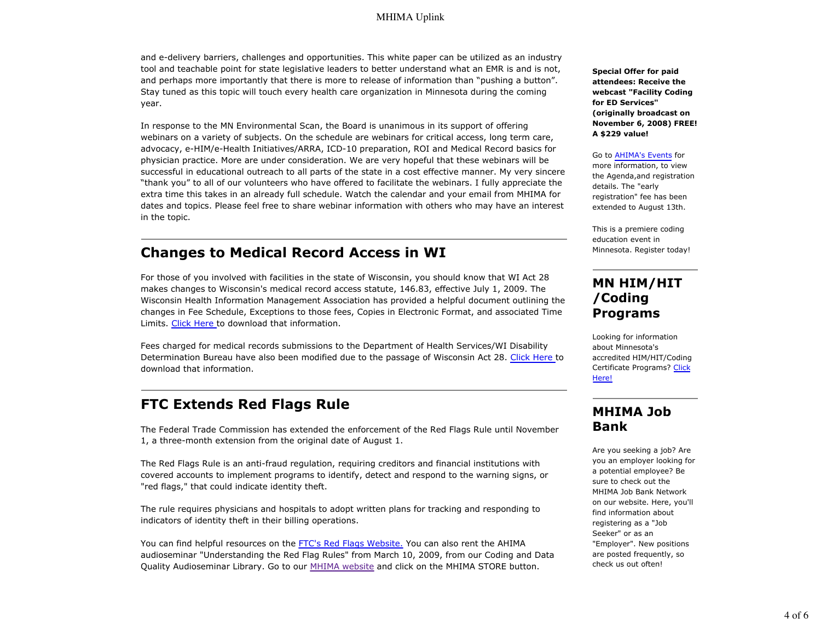and e-delivery barriers, challenges and opportunities. This white paper can be utilized as an industry tool and teachable point for state legislative leaders to better understand what an EMR is and is not, and perhaps more importantly that there is more to release of information than "pushing a button". Stay tuned as this topic will touch every health care organization in Minnesota during the coming year.

In response to the MN Environmental Scan, the Board is unanimous in its support of offering webinars on a variety of subjects. On the schedule are webinars for critical access, long term care, advocacy, e-HIM/e-Health Initiatives/ARRA, ICD-10 preparation, ROI and Medical Record basics for physician practice. More are under consideration. We are very hopeful that these webinars will be successful in educational outreach to all parts of the state in a cost effective manner. My very sincere "thank you" to all of our volunteers who have offered to facilitate the webinars. I fully appreciate the extra time this takes in an already full schedule. Watch the calendar and your email from MHIMA for dates and topics. Please feel free to share webinar information with others who may have an interest in the topic.

# **Changes to Medical Record Access in WI**

For those of you involved with facilities in the state of Wisconsin, you should know that WI Act 28 makes changes to Wisconsin's medical record access statute, 146.83, effective July 1, 2009. The Wisconsin Health Information Management Association has provided a helpful document outlining the changes in Fee Schedule, Exceptions to those fees, Copies in Electronic Format, and associated Time Limits. Click Here to download that information.

Fees charged for medical records submissions to the Department of Health Services/WI Disability Determination Bureau have also been modified due to the passage of Wisconsin Act 28. Click Here to download that information.

# **FTC Extends Red Flags Rule**

The Federal Trade Commission has extended the enforcement of the Red Flags Rule until November 1, a three-month extension from the original date of August 1.

The Red Flags Rule is an anti-fraud regulation, requiring creditors and financial institutions with covered accounts to implement programs to identify, detect and respond to the warning signs, or "red flags," that could indicate identity theft.

The rule requires physicians and hospitals to adopt written plans for tracking and responding to indicators of identity theft in their billing operations.

You can find helpful resources on the FTC's Red Flags Website. You can also rent the AHIMA audioseminar "Understanding the Red Flag Rules" from March 10, 2009, from our Coding and Data Quality Audioseminar Library. Go to our MHIMA website and click on the MHIMA STORE button.

**Special Offer for paid attendees: Receive the webcast "Facility Coding for ED Services" (originally broadcast on November 6, 2008) FREE! A \$229 value!**

#### Go to AHIMA's Events for

more information, to view the Agenda,and registration details. The "early registration" fee has been extended to August 13th.

This is a premiere coding education event in Minnesota. Register today!

### **MN HIM/HIT /Coding Programs**

Looking for information about Minnesota's accredited HIM/HIT/Coding Certificate Programs? Click Here!

# **MHIMA Job Bank**

Are you seeking a job? Are you an employer looking for a potential employee? Be sure to check out the MHIMA Job Bank Network on our website. Here, you'll find information about registering as a "Job Seeker" or as an "Employer". New positions are posted frequently, so check us out often!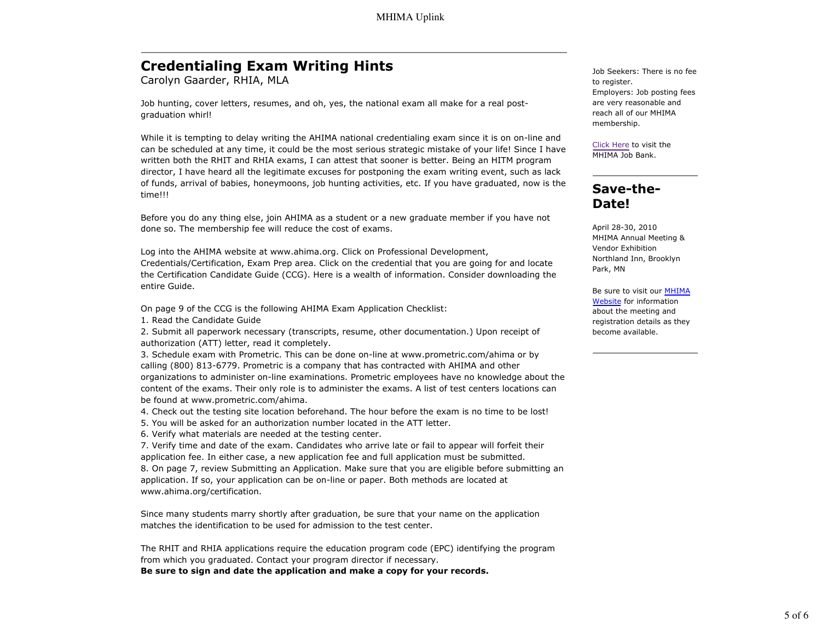# **Credentialing Exam Writing Hints**

Carolyn Gaarder, RHIA, MLA

Job hunting, cover letters, resumes, and oh, yes, the national exam all make for a real postgraduation whirl!

While it is tempting to delay writing the AHIMA national credentialing exam since it is on on-line and can be scheduled at any time, it could be the most serious strategic mistake of your life! Since I have written both the RHIT and RHIA exams, I can attest that sooner is better. Being an HITM program director, I have heard all the legitimate excuses for postponing the exam writing event, such as lack of funds, arrival of babies, honeymoons, job hunting activities, etc. If you have graduated, now is the time!!!

Before you do any thing else, join AHIMA as a student or a new graduate member if you have not done so. The membership fee will reduce the cost of exams.

Log into the AHIMA website at www.ahima.org. Click on Professional Development, Credentials/Certification, Exam Prep area. Click on the credential that you are going for and locate the Certification Candidate Guide (CCG). Here is a wealth of information. Consider downloading the entire Guide.

On page 9 of the CCG is the following AHIMA Exam Application Checklist:

1. Read the Candidate Guide

2. Submit all paperwork necessary (transcripts, resume, other documentation.) Upon receipt of authorization (ATT) letter, read it completely.

3. Schedule exam with Prometric. This can be done on-line at www.prometric.com/ahima or by calling (800) 813-6779. Prometric is a company that has contracted with AHIMA and other organizations to administer on-line examinations. Prometric employees have no knowledge about the content of the exams. Their only role is to administer the exams. A list of test centers locations can be found at www.prometric.com/ahima.

- 4. Check out the testing site location beforehand. The hour before the exam is no time to be lost!
- 5. You will be asked for an authorization number located in the ATT letter.

6. Verify what materials are needed at the testing center.

7. Verify time and date of the exam. Candidates who arrive late or fail to appear will forfeit their application fee. In either case, a new application fee and full application must be submitted. 8. On page 7, review Submitting an Application. Make sure that you are eligible before submitting an application. If so, your application can be on-line or paper. Both methods are located at www.ahima.org/certification.

Since many students marry shortly after graduation, be sure that your name on the application matches the identification to be used for admission to the test center.

The RHIT and RHIA applications require the education program code (EPC) identifying the program from which you graduated. Contact your program director if necessary. **Be sure to sign and date the application and make a copy for your records.**

Job Seekers: There is no fee to register. Employers: Job posting fees are very reasonable and reach all of our MHIMA membership.

Click Here to visit the MHIMA Job Bank.

# **Save-the-Date!**

April 28-30, 2010 MHIMA Annual Meeting & Vendor Exhibition Northland Inn, Brooklyn Park, MN

Be sure to visit our MHIMA Website for information about the meeting and registration details as they become available.